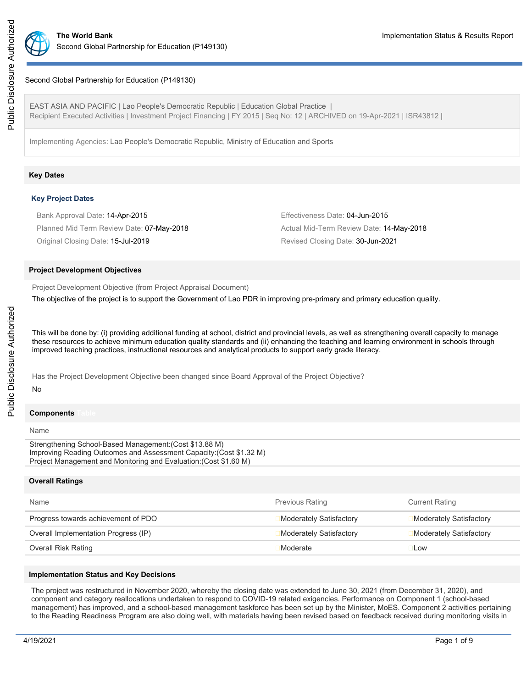

### Second Global Partnership for Education (P149130)

EAST ASIA AND PACIFIC | Lao People's Democratic Republic | Education Global Practice | Recipient Executed Activities | Investment Project Financing | FY 2015 | Seq No: 12 | ARCHIVED on 19-Apr-2021 | ISR43812 |

Implementing Agencies: Lao People's Democratic Republic, Ministry of Education and Sports

#### **Key Dates**

### **Key Project Dates**

| Bank Approval Date: 14-Apr-2015           | Effectiveness Date: 04-Jun-2015          |
|-------------------------------------------|------------------------------------------|
| Planned Mid Term Review Date: 07-May-2018 | Actual Mid-Term Review Date: 14-May-2018 |
| Original Closing Date: 15-Jul-2019        | Revised Closing Date: 30-Jun-2021        |

#### **Project Development Objectives**

Project Development Objective (from Project Appraisal Document)

The objective of the project is to support the Government of Lao PDR in improving pre-primary and primary education quality.

This will be done by: (i) providing additional funding at school, district and provincial levels, as well as strengthening overall capacity to manage these resources to achieve minimum education quality standards and (ii) enhancing the teaching and learning environment in schools through improved teaching practices, instructional resources and analytical products to support early grade literacy.

Has the Project Development Objective been changed since Board Approval of the Project Objective?

### No

# **Components**

#### Name

Strengthening School-Based Management:(Cost \$13.88 M) Improving Reading Outcomes and Assessment Capacity:(Cost \$1.32 M) Project Management and Monitoring and Evaluation:(Cost \$1.60 M)

### **Overall Ratings**

| Name                                 | <b>Previous Rating</b>  | <b>Current Rating</b>   |
|--------------------------------------|-------------------------|-------------------------|
| Progress towards achievement of PDO  | Moderately Satisfactory | Moderately Satisfactory |
| Overall Implementation Progress (IP) | Moderately Satisfactory | Moderately Satisfactory |
| Overall Risk Rating                  | Moderate                | <b>Low</b>              |

### **Implementation Status and Key Decisions**

The project was restructured in November 2020, whereby the closing date was extended to June 30, 2021 (from December 31, 2020), and component and category reallocations undertaken to respond to COVID-19 related exigencies. Performance on Component 1 (school-based management) has improved, and a school-based management taskforce has been set up by the Minister, MoES. Component 2 activities pertaining to the Reading Readiness Program are also doing well, with materials having been revised based on feedback received during monitoring visits in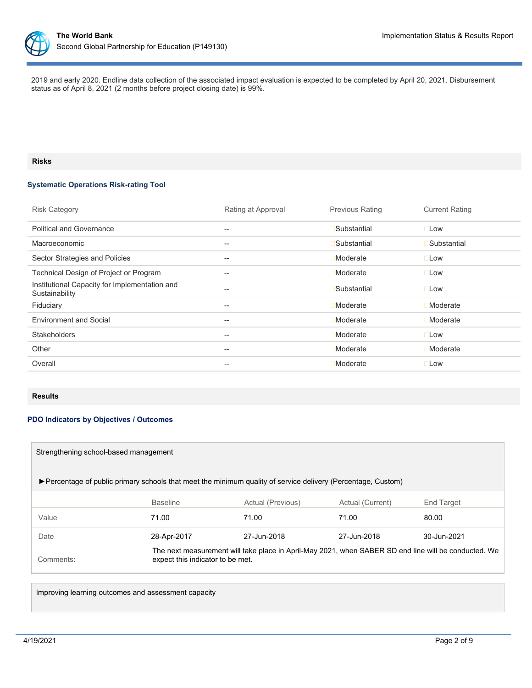

2019 and early 2020. Endline data collection of the associated impact evaluation is expected to be completed by April 20, 2021. Disbursement status as of April 8, 2021 (2 months before project closing date) is 99%.

# **Risks**

# **Systematic Operations Risk-rating Tool**

| <b>Risk Category</b>                                            | Rating at Approval | <b>Previous Rating</b> | <b>Current Rating</b> |
|-----------------------------------------------------------------|--------------------|------------------------|-----------------------|
| <b>Political and Governance</b>                                 | $- -$              | Substantial            | $\square$ Low         |
| Macroeconomic                                                   | --                 | Substantial            | Substantial           |
| Sector Strategies and Policies                                  | $- -$              | Moderate               | $\square$ Low         |
| Technical Design of Project or Program                          | $- -$              | Moderate               | $\square$ Low         |
| Institutional Capacity for Implementation and<br>Sustainability | --                 | Substantial            | $\square$ Low         |
| Fiduciary                                                       | --                 | Moderate               | <b>Moderate</b>       |
| <b>Environment and Social</b>                                   | $- -$              | Moderate               | Moderate              |
| <b>Stakeholders</b>                                             | --                 | Moderate               | $\square$ Low         |
| Other                                                           | $- -$              | Moderate               | Moderate              |
| Overall                                                         | --                 | Moderate               | $\square$ Low         |

### **Results**

### **PDO Indicators by Objectives / Outcomes**

| Strengthening school-based management                                                                         |                                  |                                                                                                      |                  |                   |  |  |
|---------------------------------------------------------------------------------------------------------------|----------------------------------|------------------------------------------------------------------------------------------------------|------------------|-------------------|--|--|
| ► Percentage of public primary schools that meet the minimum quality of service delivery (Percentage, Custom) |                                  |                                                                                                      |                  |                   |  |  |
|                                                                                                               | <b>Baseline</b>                  | Actual (Previous)                                                                                    | Actual (Current) | <b>End Target</b> |  |  |
| Value                                                                                                         | 71.00                            | 71.00                                                                                                | 71.00            | 80.00             |  |  |
| Date                                                                                                          | 28-Apr-2017                      | 27-Jun-2018                                                                                          | 27-Jun-2018      | 30-Jun-2021       |  |  |
| Comments:                                                                                                     | expect this indicator to be met. | The next measurement will take place in April-May 2021, when SABER SD end line will be conducted. We |                  |                   |  |  |

Improving learning outcomes and assessment capacity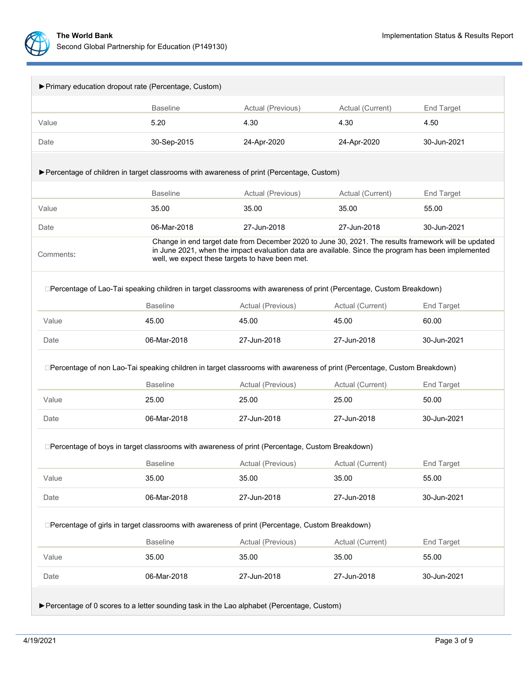

| ▶ Primary education dropout rate (Percentage, Custom)                                                                    |                                                                               |                                                                                                                                                                                                             |                  |                   |  |  |  |  |  |
|--------------------------------------------------------------------------------------------------------------------------|-------------------------------------------------------------------------------|-------------------------------------------------------------------------------------------------------------------------------------------------------------------------------------------------------------|------------------|-------------------|--|--|--|--|--|
|                                                                                                                          | <b>Baseline</b>                                                               | Actual (Previous)                                                                                                                                                                                           | Actual (Current) | End Target        |  |  |  |  |  |
| Value                                                                                                                    | 5.20                                                                          | 4.30                                                                                                                                                                                                        | 4.30             | 4.50              |  |  |  |  |  |
| Date                                                                                                                     | 30-Sep-2015                                                                   | 24-Apr-2020                                                                                                                                                                                                 | 24-Apr-2020      | 30-Jun-2021       |  |  |  |  |  |
|                                                                                                                          |                                                                               |                                                                                                                                                                                                             |                  |                   |  |  |  |  |  |
| ▶ Percentage of children in target classrooms with awareness of print (Percentage, Custom)                               |                                                                               |                                                                                                                                                                                                             |                  |                   |  |  |  |  |  |
| <b>Baseline</b><br>Actual (Previous)<br>Actual (Current)<br>End Target                                                   |                                                                               |                                                                                                                                                                                                             |                  |                   |  |  |  |  |  |
| Value                                                                                                                    | 35.00                                                                         | 35.00                                                                                                                                                                                                       | 35.00            | 55.00             |  |  |  |  |  |
| Date                                                                                                                     | 06-Mar-2018                                                                   | 27-Jun-2018                                                                                                                                                                                                 | 27-Jun-2018      | 30-Jun-2021       |  |  |  |  |  |
| Comments:                                                                                                                | well, we expect these targets to have been met.                               | Change in end target date from December 2020 to June 30, 2021. The results framework will be updated<br>in June 2021, when the impact evaluation data are available. Since the program has been implemented |                  |                   |  |  |  |  |  |
| □Percentage of Lao-Tai speaking children in target classrooms with awareness of print (Percentage, Custom Breakdown)     |                                                                               |                                                                                                                                                                                                             |                  |                   |  |  |  |  |  |
|                                                                                                                          | <b>Baseline</b>                                                               | Actual (Previous)                                                                                                                                                                                           | Actual (Current) | <b>End Target</b> |  |  |  |  |  |
| Value                                                                                                                    | 45.00                                                                         | 45.00                                                                                                                                                                                                       | 60.00            |                   |  |  |  |  |  |
| Date                                                                                                                     | 06-Mar-2018                                                                   | 27-Jun-2018                                                                                                                                                                                                 | 30-Jun-2021      |                   |  |  |  |  |  |
| □Percentage of non Lao-Tai speaking children in target classrooms with awareness of print (Percentage, Custom Breakdown) |                                                                               |                                                                                                                                                                                                             |                  |                   |  |  |  |  |  |
|                                                                                                                          | <b>Baseline</b><br>Actual (Previous)<br>Actual (Current)<br><b>End Target</b> |                                                                                                                                                                                                             |                  |                   |  |  |  |  |  |
| Value                                                                                                                    | 25.00                                                                         | 25.00                                                                                                                                                                                                       | 25.00            | 50.00             |  |  |  |  |  |
| Date                                                                                                                     | 06-Mar-2018                                                                   | 27-Jun-2018                                                                                                                                                                                                 | 30-Jun-2021      |                   |  |  |  |  |  |
| □Percentage of boys in target classrooms with awareness of print (Percentage, Custom Breakdown)                          |                                                                               |                                                                                                                                                                                                             |                  |                   |  |  |  |  |  |
|                                                                                                                          | <b>Baseline</b>                                                               | Actual (Previous)                                                                                                                                                                                           | Actual (Current) | End Target        |  |  |  |  |  |
| Value                                                                                                                    | 35.00                                                                         | 35.00                                                                                                                                                                                                       | 35.00            | 55.00             |  |  |  |  |  |
| Date                                                                                                                     | 06-Mar-2018                                                                   | 27-Jun-2018                                                                                                                                                                                                 | 27-Jun-2018      | 30-Jun-2021       |  |  |  |  |  |
| □Percentage of girls in target classrooms with awareness of print (Percentage, Custom Breakdown)                         |                                                                               |                                                                                                                                                                                                             |                  |                   |  |  |  |  |  |
|                                                                                                                          | <b>Baseline</b>                                                               | Actual (Previous)                                                                                                                                                                                           | Actual (Current) | End Target        |  |  |  |  |  |
| Value                                                                                                                    | 35.00                                                                         | 35.00                                                                                                                                                                                                       | 35.00            | 55.00             |  |  |  |  |  |
| Date                                                                                                                     | 06-Mar-2018                                                                   | 27-Jun-2018                                                                                                                                                                                                 | 27-Jun-2018      | 30-Jun-2021       |  |  |  |  |  |
| ▶ Percentage of 0 scores to a letter sounding task in the Lao alphabet (Percentage, Custom)                              |                                                                               |                                                                                                                                                                                                             |                  |                   |  |  |  |  |  |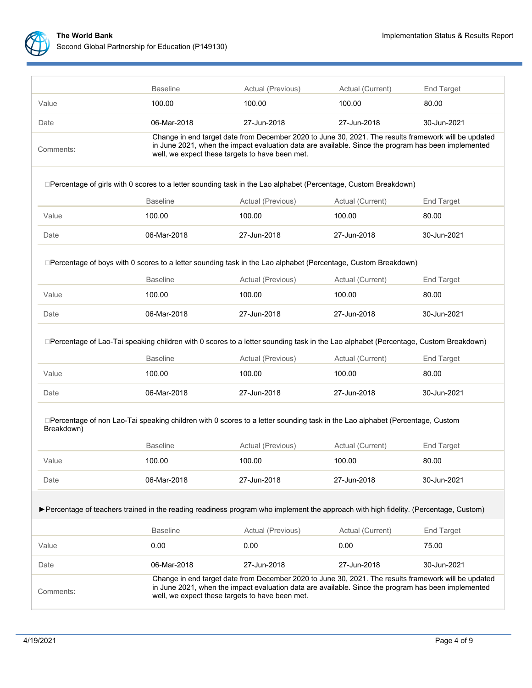

|                                                                                                                                                                                                                                                                             | <b>Baseline</b><br>Actual (Previous)<br>Actual (Current)<br>End Target                                                                                                                                                                                         |                             |                            |                            |  |  |  |  |  |
|-----------------------------------------------------------------------------------------------------------------------------------------------------------------------------------------------------------------------------------------------------------------------------|----------------------------------------------------------------------------------------------------------------------------------------------------------------------------------------------------------------------------------------------------------------|-----------------------------|----------------------------|----------------------------|--|--|--|--|--|
| Value                                                                                                                                                                                                                                                                       | 100.00                                                                                                                                                                                                                                                         | 100.00                      | 100.00                     | 80.00                      |  |  |  |  |  |
| Date                                                                                                                                                                                                                                                                        | 06-Mar-2018                                                                                                                                                                                                                                                    | 27-Jun-2018                 | 27-Jun-2018                | 30-Jun-2021                |  |  |  |  |  |
| Change in end target date from December 2020 to June 30, 2021. The results framework will be updated<br>in June 2021, when the impact evaluation data are available. Since the program has been implemented<br>Comments:<br>well, we expect these targets to have been met. |                                                                                                                                                                                                                                                                |                             |                            |                            |  |  |  |  |  |
| □Percentage of girls with 0 scores to a letter sounding task in the Lao alphabet (Percentage, Custom Breakdown)                                                                                                                                                             |                                                                                                                                                                                                                                                                |                             |                            |                            |  |  |  |  |  |
|                                                                                                                                                                                                                                                                             | <b>Baseline</b>                                                                                                                                                                                                                                                | Actual (Previous)           | Actual (Current)           | <b>End Target</b>          |  |  |  |  |  |
| Value                                                                                                                                                                                                                                                                       | 100.00                                                                                                                                                                                                                                                         | 100.00                      | 100.00                     | 80.00                      |  |  |  |  |  |
| Date                                                                                                                                                                                                                                                                        | 06-Mar-2018                                                                                                                                                                                                                                                    | 27-Jun-2018                 | 27-Jun-2018                | 30-Jun-2021                |  |  |  |  |  |
|                                                                                                                                                                                                                                                                             | □Percentage of boys with 0 scores to a letter sounding task in the Lao alphabet (Percentage, Custom Breakdown)<br><b>Baseline</b><br>Actual (Previous)<br>Actual (Current)<br><b>End Target</b>                                                                |                             |                            |                            |  |  |  |  |  |
| Value                                                                                                                                                                                                                                                                       | 100.00                                                                                                                                                                                                                                                         | 100.00                      | 100.00                     | 80.00                      |  |  |  |  |  |
| Date                                                                                                                                                                                                                                                                        | 06-Mar-2018                                                                                                                                                                                                                                                    | 27-Jun-2018                 | 27-Jun-2018                | 30-Jun-2021                |  |  |  |  |  |
| □Percentage of Lao-Tai speaking children with 0 scores to a letter sounding task in the Lao alphabet (Percentage, Custom Breakdown)                                                                                                                                         | <b>Baseline</b>                                                                                                                                                                                                                                                |                             |                            |                            |  |  |  |  |  |
| Value                                                                                                                                                                                                                                                                       | 100.00                                                                                                                                                                                                                                                         | Actual (Previous)<br>100.00 | Actual (Current)<br>100.00 | <b>End Target</b><br>80.00 |  |  |  |  |  |
|                                                                                                                                                                                                                                                                             |                                                                                                                                                                                                                                                                |                             |                            |                            |  |  |  |  |  |
| Date                                                                                                                                                                                                                                                                        | 06-Mar-2018                                                                                                                                                                                                                                                    | 27-Jun-2018                 | 27-Jun-2018<br>30-Jun-2021 |                            |  |  |  |  |  |
| □Percentage of non Lao-Tai speaking children with 0 scores to a letter sounding task in the Lao alphabet (Percentage, Custom<br>Breakdown)                                                                                                                                  |                                                                                                                                                                                                                                                                |                             |                            |                            |  |  |  |  |  |
|                                                                                                                                                                                                                                                                             | <b>Baseline</b>                                                                                                                                                                                                                                                | Actual (Previous)           | Actual (Current)           | <b>End Target</b>          |  |  |  |  |  |
| Value                                                                                                                                                                                                                                                                       | 100.00                                                                                                                                                                                                                                                         | 100.00                      | 100.00                     | 80.00                      |  |  |  |  |  |
| Date                                                                                                                                                                                                                                                                        | 06-Mar-2018                                                                                                                                                                                                                                                    | 27-Jun-2018                 | 27-Jun-2018                | 30-Jun-2021                |  |  |  |  |  |
| ► Percentage of teachers trained in the reading readiness program who implement the approach with high fidelity. (Percentage, Custom)                                                                                                                                       |                                                                                                                                                                                                                                                                |                             |                            |                            |  |  |  |  |  |
|                                                                                                                                                                                                                                                                             | <b>Baseline</b>                                                                                                                                                                                                                                                | Actual (Previous)           | Actual (Current)           | End Target                 |  |  |  |  |  |
| Value                                                                                                                                                                                                                                                                       | 0.00                                                                                                                                                                                                                                                           | 0.00                        | 0.00                       | 75.00                      |  |  |  |  |  |
| Date                                                                                                                                                                                                                                                                        | 06-Mar-2018                                                                                                                                                                                                                                                    | 27-Jun-2018                 | 27-Jun-2018                | 30-Jun-2021                |  |  |  |  |  |
| Comments:                                                                                                                                                                                                                                                                   | Change in end target date from December 2020 to June 30, 2021. The results framework will be updated<br>in June 2021, when the impact evaluation data are available. Since the program has been implemented<br>well, we expect these targets to have been met. |                             |                            |                            |  |  |  |  |  |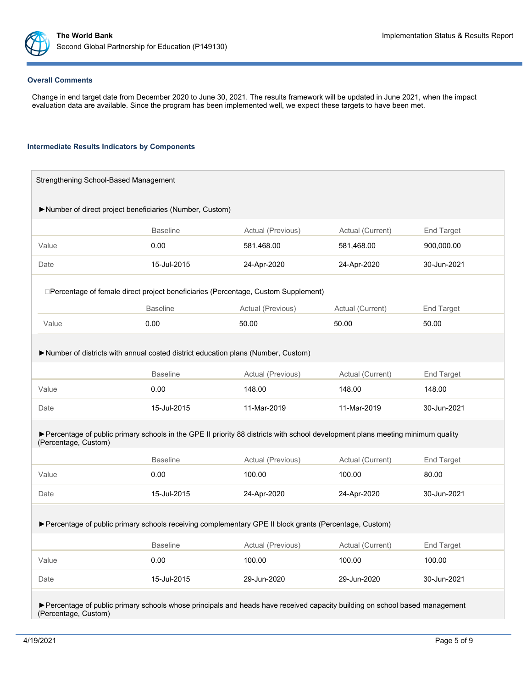

#### **Overall Comments**

Change in end target date from December 2020 to June 30, 2021. The results framework will be updated in June 2021, when the impact evaluation data are available. Since the program has been implemented well, we expect these targets to have been met.

#### **Intermediate Results Indicators by Components**

| Strengthening School-Based Management                                                                                        |                                                                                                                                |                            |                  |                   |  |  |  |  |
|------------------------------------------------------------------------------------------------------------------------------|--------------------------------------------------------------------------------------------------------------------------------|----------------------------|------------------|-------------------|--|--|--|--|
| Number of direct project beneficiaries (Number, Custom)                                                                      |                                                                                                                                |                            |                  |                   |  |  |  |  |
|                                                                                                                              |                                                                                                                                |                            |                  |                   |  |  |  |  |
|                                                                                                                              | <b>Baseline</b>                                                                                                                | Actual (Previous)          | End Target       |                   |  |  |  |  |
| Value                                                                                                                        | 0.00                                                                                                                           | 581,468.00                 | 581,468.00       | 900,000.00        |  |  |  |  |
| Date                                                                                                                         | 15-Jul-2015                                                                                                                    | 24-Apr-2020                | 24-Apr-2020      | 30-Jun-2021       |  |  |  |  |
|                                                                                                                              | □Percentage of female direct project beneficiaries (Percentage, Custom Supplement)                                             |                            |                  |                   |  |  |  |  |
|                                                                                                                              | <b>Baseline</b>                                                                                                                | Actual (Previous)          | Actual (Current) | End Target        |  |  |  |  |
| Value                                                                                                                        | 0.00                                                                                                                           | 50.00                      | 50.00            | 50.00             |  |  |  |  |
|                                                                                                                              | Number of districts with annual costed district education plans (Number, Custom)                                               |                            |                  |                   |  |  |  |  |
|                                                                                                                              | <b>Baseline</b>                                                                                                                | Actual (Previous)          | Actual (Current) | End Target        |  |  |  |  |
| Value                                                                                                                        | 0.00                                                                                                                           | 148.00<br>148.00           |                  | 148.00            |  |  |  |  |
| Date                                                                                                                         | 15-Jul-2015                                                                                                                    | 11-Mar-2019<br>11-Mar-2019 |                  | 30-Jun-2021       |  |  |  |  |
| (Percentage, Custom)                                                                                                         | Percentage of public primary schools in the GPE II priority 88 districts with school development plans meeting minimum quality |                            |                  |                   |  |  |  |  |
|                                                                                                                              | <b>Baseline</b>                                                                                                                | Actual (Previous)          | Actual (Current) | End Target        |  |  |  |  |
| Value                                                                                                                        | 0.00                                                                                                                           | 100.00                     | 100.00           | 80.00             |  |  |  |  |
| Date                                                                                                                         | 15-Jul-2015                                                                                                                    | 24-Apr-2020                | 24-Apr-2020      | 30-Jun-2021       |  |  |  |  |
| ▶ Percentage of public primary schools receiving complementary GPE II block grants (Percentage, Custom)                      |                                                                                                                                |                            |                  |                   |  |  |  |  |
|                                                                                                                              | <b>Baseline</b>                                                                                                                | Actual (Previous)          | Actual (Current) | <b>End Target</b> |  |  |  |  |
| Value                                                                                                                        | 0.00                                                                                                                           | 100.00                     | 100.00           | 100.00            |  |  |  |  |
| Date                                                                                                                         | 15-Jul-2015                                                                                                                    | 29-Jun-2020                | 29-Jun-2020      | 30-Jun-2021       |  |  |  |  |
| ▶ Percentage of public primary schools whose principals and heads have received capacity building on school based management |                                                                                                                                |                            |                  |                   |  |  |  |  |

(Percentage, Custom)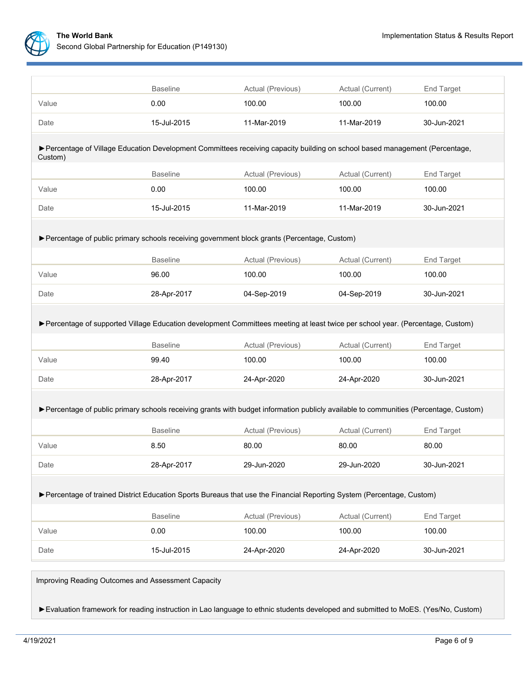

|                                                                                                                                         | <b>Baseline</b>                                                        | Actual (Previous)<br>Actual (Current)               |                  | End Target  |  |  |  |  |
|-----------------------------------------------------------------------------------------------------------------------------------------|------------------------------------------------------------------------|-----------------------------------------------------|------------------|-------------|--|--|--|--|
| Value                                                                                                                                   | 0.00                                                                   | 100.00                                              | 100.00           | 100.00      |  |  |  |  |
| Date                                                                                                                                    | 15-Jul-2015                                                            | 11-Mar-2019<br>11-Mar-2019                          |                  | 30-Jun-2021 |  |  |  |  |
| > Percentage of Village Education Development Committees receiving capacity building on school based management (Percentage,<br>Custom) |                                                                        |                                                     |                  |             |  |  |  |  |
|                                                                                                                                         | <b>Baseline</b>                                                        | Actual (Previous)<br>Actual (Current)<br>End Target |                  |             |  |  |  |  |
| Value                                                                                                                                   | 0.00                                                                   | 100.00                                              | 100.00           | 100.00      |  |  |  |  |
| Date                                                                                                                                    | 15-Jul-2015                                                            | 11-Mar-2019                                         | 11-Mar-2019      | 30-Jun-2021 |  |  |  |  |
| ▶ Percentage of public primary schools receiving government block grants (Percentage, Custom)                                           |                                                                        |                                                     |                  |             |  |  |  |  |
|                                                                                                                                         | <b>Baseline</b>                                                        | Actual (Previous)                                   | Actual (Current) | End Target  |  |  |  |  |
| Value                                                                                                                                   | 96.00                                                                  | 100.00                                              | 100.00           | 100.00      |  |  |  |  |
| Date                                                                                                                                    | 28-Apr-2017                                                            | 04-Sep-2019                                         | 04-Sep-2019      | 30-Jun-2021 |  |  |  |  |
| ▶ Percentage of supported Village Education development Committees meeting at least twice per school year. (Percentage, Custom)         |                                                                        |                                                     |                  |             |  |  |  |  |
|                                                                                                                                         | <b>Baseline</b><br>Actual (Current)<br>Actual (Previous)<br>End Target |                                                     |                  |             |  |  |  |  |
| Value                                                                                                                                   | 99.40                                                                  | 100.00                                              | 100.00           |             |  |  |  |  |
| Date                                                                                                                                    | 28-Apr-2017                                                            | 24-Apr-2020<br>24-Apr-2020                          |                  | 30-Jun-2021 |  |  |  |  |
| ▶ Percentage of public primary schools receiving grants with budget information publicly available to communities (Percentage, Custom)  |                                                                        |                                                     |                  |             |  |  |  |  |
|                                                                                                                                         | <b>Baseline</b>                                                        | Actual (Previous)                                   | Actual (Current) | End Target  |  |  |  |  |
| Value                                                                                                                                   | 8.50                                                                   | 80.00                                               | 80.00            | 80.00       |  |  |  |  |
| Date                                                                                                                                    | 28-Apr-2017                                                            | 29-Jun-2020                                         | 29-Jun-2020      | 30-Jun-2021 |  |  |  |  |
| ▶ Percentage of trained District Education Sports Bureaus that use the Financial Reporting System (Percentage, Custom)                  |                                                                        |                                                     |                  |             |  |  |  |  |
|                                                                                                                                         | <b>Baseline</b>                                                        | Actual (Previous)                                   | Actual (Current) | End Target  |  |  |  |  |
| Value                                                                                                                                   | 0.00                                                                   | 100.00                                              | 100.00           | 100.00      |  |  |  |  |
| Date                                                                                                                                    | 15-Jul-2015                                                            | 24-Apr-2020                                         | 24-Apr-2020      | 30-Jun-2021 |  |  |  |  |

Improving Reading Outcomes and Assessment Capacity

►Evaluation framework for reading instruction in Lao language to ethnic students developed and submitted to MoES. (Yes/No, Custom)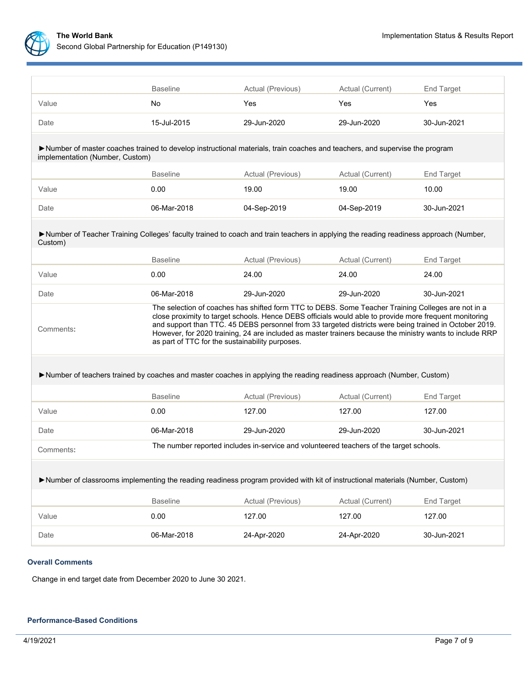

|                                                                                                                                                               | <b>Baseline</b>                                                                                                                                                                                                                                                                                                                                                                                                                                                                       | Actual (Previous)                                                                       | Actual (Current) | End Target  |  |  |  |  |
|---------------------------------------------------------------------------------------------------------------------------------------------------------------|---------------------------------------------------------------------------------------------------------------------------------------------------------------------------------------------------------------------------------------------------------------------------------------------------------------------------------------------------------------------------------------------------------------------------------------------------------------------------------------|-----------------------------------------------------------------------------------------|------------------|-------------|--|--|--|--|
| Value                                                                                                                                                         | No.                                                                                                                                                                                                                                                                                                                                                                                                                                                                                   | Yes                                                                                     | <b>Yes</b>       | Yes         |  |  |  |  |
| Date                                                                                                                                                          | 15-Jul-2015                                                                                                                                                                                                                                                                                                                                                                                                                                                                           | 29-Jun-2020<br>29-Jun-2020                                                              |                  | 30-Jun-2021 |  |  |  |  |
| Number of master coaches trained to develop instructional materials, train coaches and teachers, and supervise the program<br>implementation (Number, Custom) |                                                                                                                                                                                                                                                                                                                                                                                                                                                                                       |                                                                                         |                  |             |  |  |  |  |
|                                                                                                                                                               | <b>Baseline</b><br>Actual (Previous)<br>Actual (Current)<br>End Target                                                                                                                                                                                                                                                                                                                                                                                                                |                                                                                         |                  |             |  |  |  |  |
| Value                                                                                                                                                         | 0.00                                                                                                                                                                                                                                                                                                                                                                                                                                                                                  | 19.00                                                                                   | 19.00            | 10.00       |  |  |  |  |
| Date                                                                                                                                                          | 06-Mar-2018                                                                                                                                                                                                                                                                                                                                                                                                                                                                           | 04-Sep-2019                                                                             | 04-Sep-2019      | 30-Jun-2021 |  |  |  |  |
| >Number of Teacher Training Colleges' faculty trained to coach and train teachers in applying the reading readiness approach (Number,<br>Custom)              |                                                                                                                                                                                                                                                                                                                                                                                                                                                                                       |                                                                                         |                  |             |  |  |  |  |
|                                                                                                                                                               | <b>Baseline</b>                                                                                                                                                                                                                                                                                                                                                                                                                                                                       | Actual (Previous)                                                                       | Actual (Current) | End Target  |  |  |  |  |
| Value                                                                                                                                                         | 0.00                                                                                                                                                                                                                                                                                                                                                                                                                                                                                  | 24.00                                                                                   | 24.00            | 24.00       |  |  |  |  |
| Date                                                                                                                                                          | 06-Mar-2018                                                                                                                                                                                                                                                                                                                                                                                                                                                                           | 29-Jun-2020                                                                             | 29-Jun-2020      | 30-Jun-2021 |  |  |  |  |
| Comments:                                                                                                                                                     | The selection of coaches has shifted form TTC to DEBS. Some Teacher Training Colleges are not in a<br>close proximity to target schools. Hence DEBS officials would able to provide more frequent monitoring<br>and support than TTC. 45 DEBS personnel from 33 targeted districts were being trained in October 2019.<br>However, for 2020 training, 24 are included as master trainers because the ministry wants to include RRP<br>as part of TTC for the sustainability purposes. |                                                                                         |                  |             |  |  |  |  |
| Number of teachers trained by coaches and master coaches in applying the reading readiness approach (Number, Custom)                                          |                                                                                                                                                                                                                                                                                                                                                                                                                                                                                       |                                                                                         |                  |             |  |  |  |  |
|                                                                                                                                                               | <b>Baseline</b>                                                                                                                                                                                                                                                                                                                                                                                                                                                                       | Actual (Previous)                                                                       | Actual (Current) | End Target  |  |  |  |  |
| Value                                                                                                                                                         | 0.00                                                                                                                                                                                                                                                                                                                                                                                                                                                                                  | 127.00                                                                                  | 127.00           | 127.00      |  |  |  |  |
| Date                                                                                                                                                          | 06-Mar-2018                                                                                                                                                                                                                                                                                                                                                                                                                                                                           | 29-Jun-2020                                                                             | 29-Jun-2020      | 30-Jun-2021 |  |  |  |  |
| Comments:                                                                                                                                                     |                                                                                                                                                                                                                                                                                                                                                                                                                                                                                       | The number reported includes in-service and volunteered teachers of the target schools. |                  |             |  |  |  |  |
| >Number of classrooms implementing the reading readiness program provided with kit of instructional materials (Number, Custom)                                |                                                                                                                                                                                                                                                                                                                                                                                                                                                                                       |                                                                                         |                  |             |  |  |  |  |
|                                                                                                                                                               | <b>Baseline</b>                                                                                                                                                                                                                                                                                                                                                                                                                                                                       | Actual (Previous)                                                                       | Actual (Current) | End Target  |  |  |  |  |
| Value                                                                                                                                                         | 0.00                                                                                                                                                                                                                                                                                                                                                                                                                                                                                  | 127.00                                                                                  | 127.00           | 127.00      |  |  |  |  |
| Date                                                                                                                                                          | 06-Mar-2018                                                                                                                                                                                                                                                                                                                                                                                                                                                                           | 24-Apr-2020                                                                             | 24-Apr-2020      | 30-Jun-2021 |  |  |  |  |

# **Overall Comments**

Change in end target date from December 2020 to June 30 2021.

# **Performance-Based Conditions**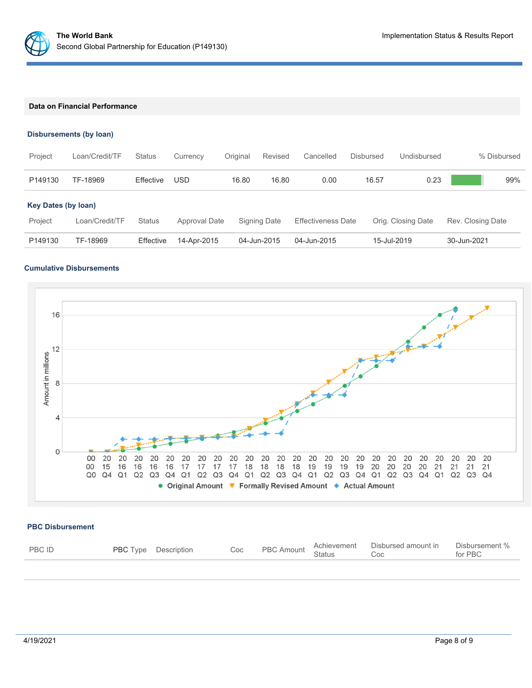

### **Data on Financial Performance**

### **Disbursements (by loan)**

| Project                               | Loan/Credit/TF | <b>Status</b> | Currency      | Original | Revised      | Cancelled                 | Disbursed | Undisbursed        | % Disbursed       |
|---------------------------------------|----------------|---------------|---------------|----------|--------------|---------------------------|-----------|--------------------|-------------------|
| P149130                               | TF-18969       | Effective     | USD           | 16.80    | 16.80        | 0.00                      | 16.57     | 0.23               | 99%               |
| <b>Key Dates (by loan)</b><br>Project | Loan/Credit/TF | <b>Status</b> | Approval Date |          | Signing Date | <b>Effectiveness Date</b> |           | Orig. Closing Date | Rev. Closing Date |
| P149130                               | TF-18969       | Effective     | 14-Apr-2015   |          | 04-Jun-2015  | 04-Jun-2015               |           | 15-Jul-2019        | 30-Jun-2021       |

# **Cumulative Disbursements**



### **PBC Disbursement**

| <b>PBC ID</b> | <b>PBC</b> Type Description |  | Coc PBC Amount Achievement Disbursed amount in Disbursement of Status Coc |  |
|---------------|-----------------------------|--|---------------------------------------------------------------------------|--|
|               |                             |  |                                                                           |  |